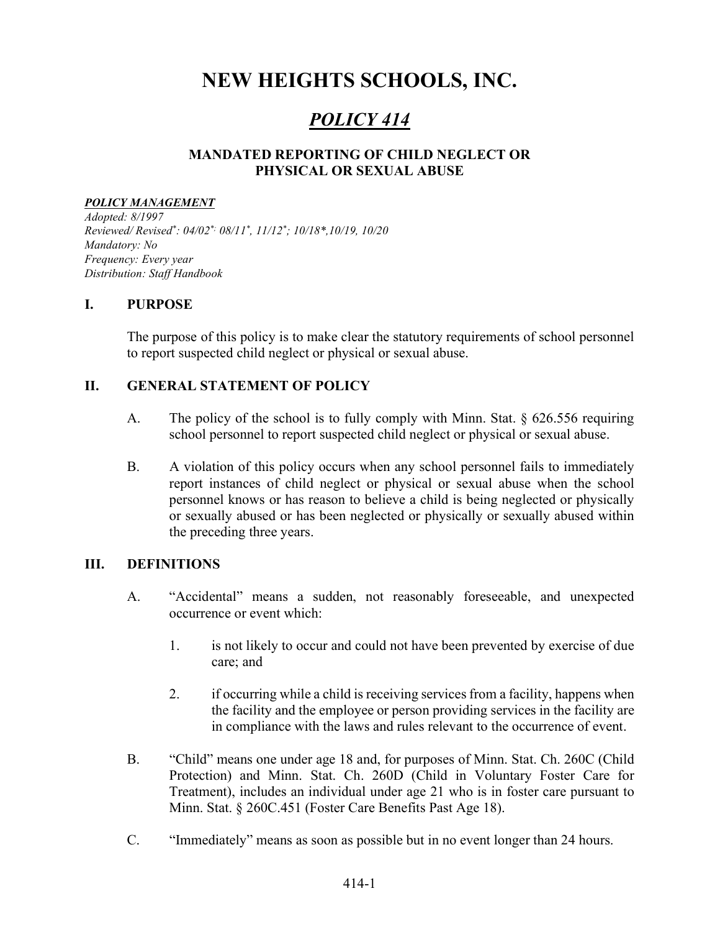# NEW HEIGHTS SCHOOLS, INC.

# POLICY 414

# MANDATED REPORTING OF CHILD NEGLECT OR PHYSICAL OR SEXUAL ABUSE

#### POLICY MANAGEMENT

Adopted: 8/1997 Reviewed/ Revised\* : 04/02\*; 08/11\* , 11/12\* ; 10/18\*,10/19, 10/20 Mandatory: No Frequency: Every year Distribution: Staff Handbook

### I. PURPOSE

The purpose of this policy is to make clear the statutory requirements of school personnel to report suspected child neglect or physical or sexual abuse.

### II. GENERAL STATEMENT OF POLICY

- A. The policy of the school is to fully comply with Minn. Stat.  $\S 626.556$  requiring school personnel to report suspected child neglect or physical or sexual abuse.
- B. A violation of this policy occurs when any school personnel fails to immediately report instances of child neglect or physical or sexual abuse when the school personnel knows or has reason to believe a child is being neglected or physically or sexually abused or has been neglected or physically or sexually abused within the preceding three years.

#### III. DEFINITIONS

- A. "Accidental" means a sudden, not reasonably foreseeable, and unexpected occurrence or event which:
	- 1. is not likely to occur and could not have been prevented by exercise of due care; and
	- 2. if occurring while a child is receiving services from a facility, happens when the facility and the employee or person providing services in the facility are in compliance with the laws and rules relevant to the occurrence of event.
- B. "Child" means one under age 18 and, for purposes of Minn. Stat. Ch. 260C (Child Protection) and Minn. Stat. Ch. 260D (Child in Voluntary Foster Care for Treatment), includes an individual under age 21 who is in foster care pursuant to Minn. Stat. § 260C.451 (Foster Care Benefits Past Age 18).
- C. "Immediately" means as soon as possible but in no event longer than 24 hours.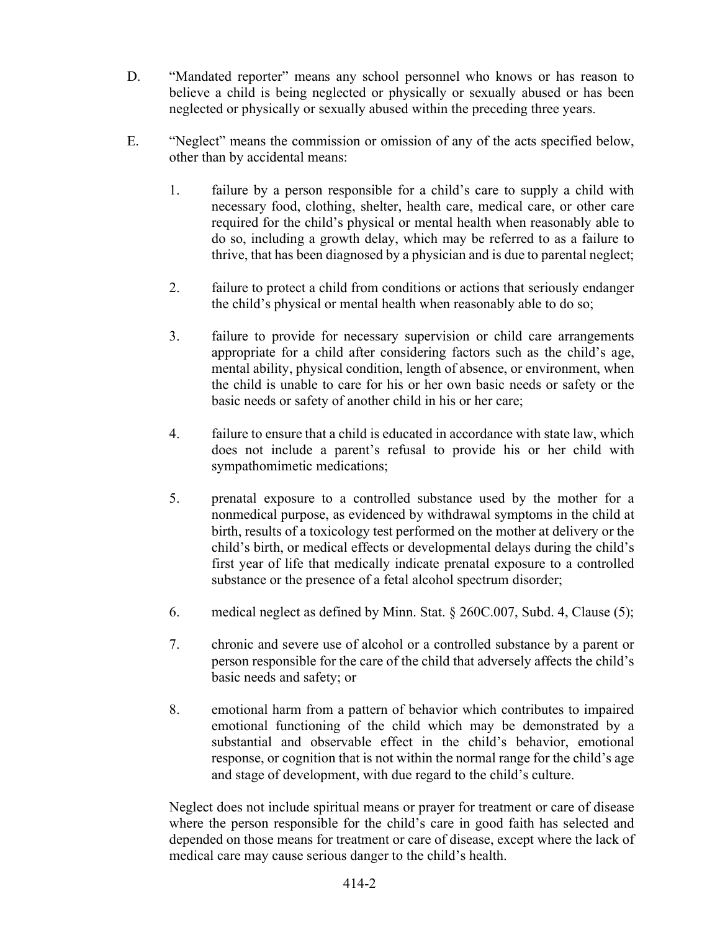- D. "Mandated reporter" means any school personnel who knows or has reason to believe a child is being neglected or physically or sexually abused or has been neglected or physically or sexually abused within the preceding three years.
- E. "Neglect" means the commission or omission of any of the acts specified below, other than by accidental means:
	- 1. failure by a person responsible for a child's care to supply a child with necessary food, clothing, shelter, health care, medical care, or other care required for the child's physical or mental health when reasonably able to do so, including a growth delay, which may be referred to as a failure to thrive, that has been diagnosed by a physician and is due to parental neglect;
	- 2. failure to protect a child from conditions or actions that seriously endanger the child's physical or mental health when reasonably able to do so;
	- 3. failure to provide for necessary supervision or child care arrangements appropriate for a child after considering factors such as the child's age, mental ability, physical condition, length of absence, or environment, when the child is unable to care for his or her own basic needs or safety or the basic needs or safety of another child in his or her care;
	- 4. failure to ensure that a child is educated in accordance with state law, which does not include a parent's refusal to provide his or her child with sympathomimetic medications;
	- 5. prenatal exposure to a controlled substance used by the mother for a nonmedical purpose, as evidenced by withdrawal symptoms in the child at birth, results of a toxicology test performed on the mother at delivery or the child's birth, or medical effects or developmental delays during the child's first year of life that medically indicate prenatal exposure to a controlled substance or the presence of a fetal alcohol spectrum disorder;
	- 6. medical neglect as defined by Minn. Stat. § 260C.007, Subd. 4, Clause (5);
	- 7. chronic and severe use of alcohol or a controlled substance by a parent or person responsible for the care of the child that adversely affects the child's basic needs and safety; or
	- 8. emotional harm from a pattern of behavior which contributes to impaired emotional functioning of the child which may be demonstrated by a substantial and observable effect in the child's behavior, emotional response, or cognition that is not within the normal range for the child's age and stage of development, with due regard to the child's culture.

Neglect does not include spiritual means or prayer for treatment or care of disease where the person responsible for the child's care in good faith has selected and depended on those means for treatment or care of disease, except where the lack of medical care may cause serious danger to the child's health.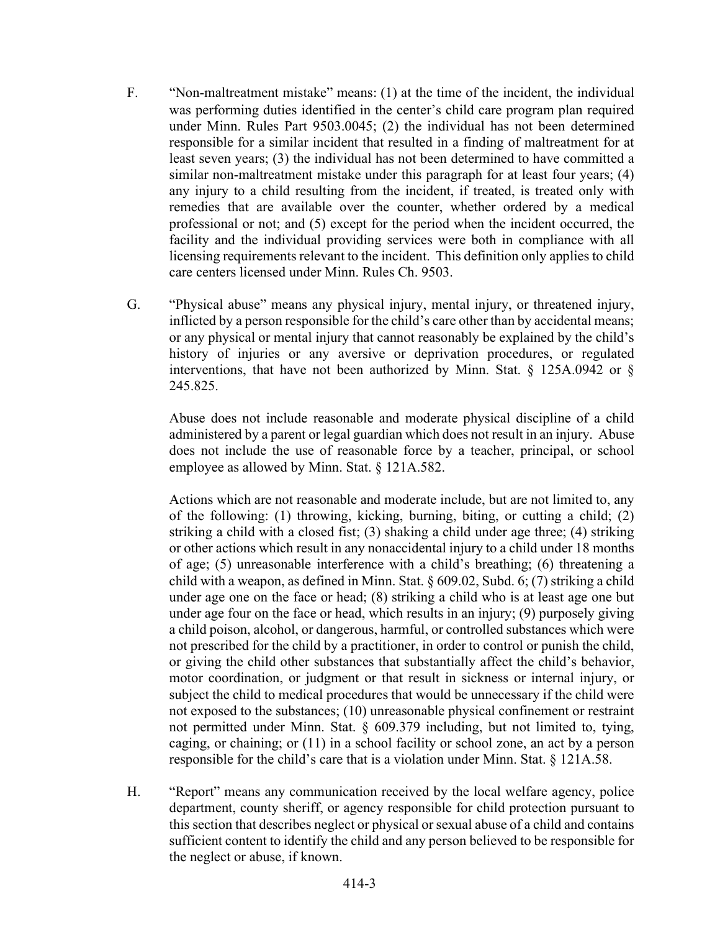- F. "Non-maltreatment mistake" means: (1) at the time of the incident, the individual was performing duties identified in the center's child care program plan required under Minn. Rules Part 9503.0045; (2) the individual has not been determined responsible for a similar incident that resulted in a finding of maltreatment for at least seven years; (3) the individual has not been determined to have committed a similar non-maltreatment mistake under this paragraph for at least four years; (4) any injury to a child resulting from the incident, if treated, is treated only with remedies that are available over the counter, whether ordered by a medical professional or not; and (5) except for the period when the incident occurred, the facility and the individual providing services were both in compliance with all licensing requirements relevant to the incident. This definition only applies to child care centers licensed under Minn. Rules Ch. 9503.
- G. "Physical abuse" means any physical injury, mental injury, or threatened injury, inflicted by a person responsible for the child's care other than by accidental means; or any physical or mental injury that cannot reasonably be explained by the child's history of injuries or any aversive or deprivation procedures, or regulated interventions, that have not been authorized by Minn. Stat.  $\S$  125A.0942 or  $\S$ 245.825.

Abuse does not include reasonable and moderate physical discipline of a child administered by a parent or legal guardian which does not result in an injury. Abuse does not include the use of reasonable force by a teacher, principal, or school employee as allowed by Minn. Stat. § 121A.582.

Actions which are not reasonable and moderate include, but are not limited to, any of the following: (1) throwing, kicking, burning, biting, or cutting a child; (2) striking a child with a closed fist; (3) shaking a child under age three; (4) striking or other actions which result in any nonaccidental injury to a child under 18 months of age; (5) unreasonable interference with a child's breathing; (6) threatening a child with a weapon, as defined in Minn. Stat. § 609.02, Subd. 6; (7) striking a child under age one on the face or head; (8) striking a child who is at least age one but under age four on the face or head, which results in an injury; (9) purposely giving a child poison, alcohol, or dangerous, harmful, or controlled substances which were not prescribed for the child by a practitioner, in order to control or punish the child, or giving the child other substances that substantially affect the child's behavior, motor coordination, or judgment or that result in sickness or internal injury, or subject the child to medical procedures that would be unnecessary if the child were not exposed to the substances; (10) unreasonable physical confinement or restraint not permitted under Minn. Stat. § 609.379 including, but not limited to, tying, caging, or chaining; or (11) in a school facility or school zone, an act by a person responsible for the child's care that is a violation under Minn. Stat. § 121A.58.

 H. "Report" means any communication received by the local welfare agency, police department, county sheriff, or agency responsible for child protection pursuant to this section that describes neglect or physical or sexual abuse of a child and contains sufficient content to identify the child and any person believed to be responsible for the neglect or abuse, if known.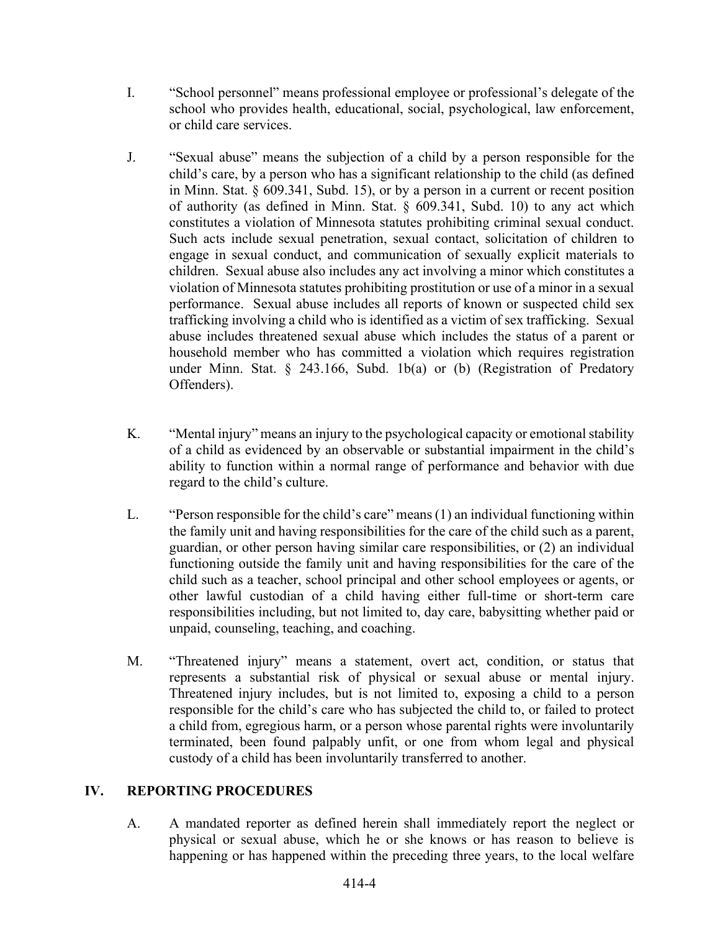- I. "School personnel" means professional employee or professional's delegate of the school who provides health, educational, social, psychological, law enforcement, or child care services.
- J. "Sexual abuse" means the subjection of a child by a person responsible for the child's care, by a person who has a significant relationship to the child (as defined in Minn. Stat. § 609.341, Subd. 15), or by a person in a current or recent position of authority (as defined in Minn. Stat. § 609.341, Subd. 10) to any act which constitutes a violation of Minnesota statutes prohibiting criminal sexual conduct. Such acts include sexual penetration, sexual contact, solicitation of children to engage in sexual conduct, and communication of sexually explicit materials to children. Sexual abuse also includes any act involving a minor which constitutes a violation of Minnesota statutes prohibiting prostitution or use of a minor in a sexual performance. Sexual abuse includes all reports of known or suspected child sex trafficking involving a child who is identified as a victim of sex trafficking. Sexual abuse includes threatened sexual abuse which includes the status of a parent or household member who has committed a violation which requires registration under Minn. Stat. § 243.166, Subd. 1b(a) or (b) (Registration of Predatory Offenders).
- K. "Mental injury" means an injury to the psychological capacity or emotional stability of a child as evidenced by an observable or substantial impairment in the child's ability to function within a normal range of performance and behavior with due regard to the child's culture.
- L. "Person responsible for the child's care" means (1) an individual functioning within the family unit and having responsibilities for the care of the child such as a parent, guardian, or other person having similar care responsibilities, or (2) an individual functioning outside the family unit and having responsibilities for the care of the child such as a teacher, school principal and other school employees or agents, or other lawful custodian of a child having either full-time or short-term care responsibilities including, but not limited to, day care, babysitting whether paid or unpaid, counseling, teaching, and coaching.
- M. "Threatened injury" means a statement, overt act, condition, or status that represents a substantial risk of physical or sexual abuse or mental injury. Threatened injury includes, but is not limited to, exposing a child to a person responsible for the child's care who has subjected the child to, or failed to protect a child from, egregious harm, or a person whose parental rights were involuntarily terminated, been found palpably unfit, or one from whom legal and physical custody of a child has been involuntarily transferred to another.

# IV. REPORTING PROCEDURES

A. A mandated reporter as defined herein shall immediately report the neglect or physical or sexual abuse, which he or she knows or has reason to believe is happening or has happened within the preceding three years, to the local welfare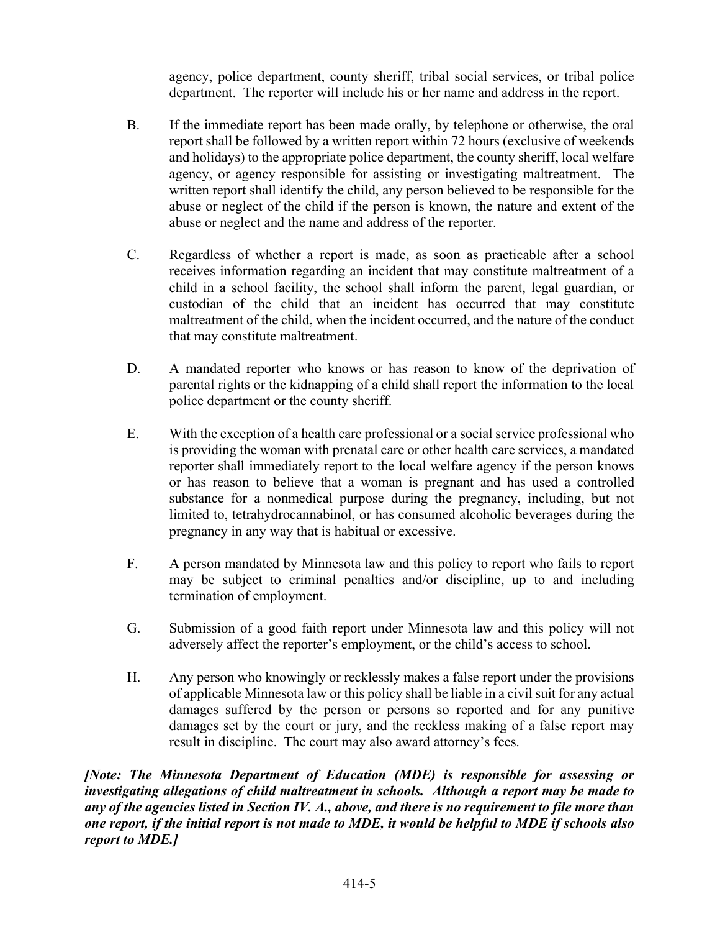agency, police department, county sheriff, tribal social services, or tribal police department. The reporter will include his or her name and address in the report.

- B. If the immediate report has been made orally, by telephone or otherwise, the oral report shall be followed by a written report within 72 hours (exclusive of weekends and holidays) to the appropriate police department, the county sheriff, local welfare agency, or agency responsible for assisting or investigating maltreatment. The written report shall identify the child, any person believed to be responsible for the abuse or neglect of the child if the person is known, the nature and extent of the abuse or neglect and the name and address of the reporter.
- C. Regardless of whether a report is made, as soon as practicable after a school receives information regarding an incident that may constitute maltreatment of a child in a school facility, the school shall inform the parent, legal guardian, or custodian of the child that an incident has occurred that may constitute maltreatment of the child, when the incident occurred, and the nature of the conduct that may constitute maltreatment.
- D. A mandated reporter who knows or has reason to know of the deprivation of parental rights or the kidnapping of a child shall report the information to the local police department or the county sheriff.
- E. With the exception of a health care professional or a social service professional who is providing the woman with prenatal care or other health care services, a mandated reporter shall immediately report to the local welfare agency if the person knows or has reason to believe that a woman is pregnant and has used a controlled substance for a nonmedical purpose during the pregnancy, including, but not limited to, tetrahydrocannabinol, or has consumed alcoholic beverages during the pregnancy in any way that is habitual or excessive.
- F. A person mandated by Minnesota law and this policy to report who fails to report may be subject to criminal penalties and/or discipline, up to and including termination of employment.
- G. Submission of a good faith report under Minnesota law and this policy will not adversely affect the reporter's employment, or the child's access to school.
- H. Any person who knowingly or recklessly makes a false report under the provisions of applicable Minnesota law or this policy shall be liable in a civil suit for any actual damages suffered by the person or persons so reported and for any punitive damages set by the court or jury, and the reckless making of a false report may result in discipline. The court may also award attorney's fees.

[Note: The Minnesota Department of Education (MDE) is responsible for assessing or investigating allegations of child maltreatment in schools. Although a report may be made to any of the agencies listed in Section IV. A., above, and there is no requirement to file more than one report, if the initial report is not made to MDE, it would be helpful to MDE if schools also report to MDE.]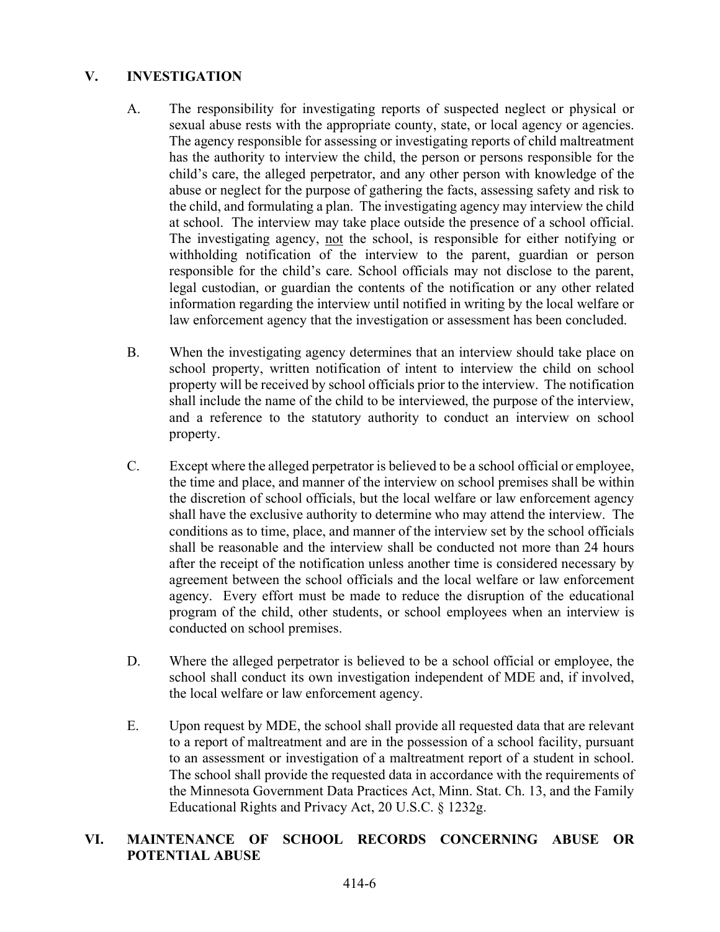# V. INVESTIGATION

- A. The responsibility for investigating reports of suspected neglect or physical or sexual abuse rests with the appropriate county, state, or local agency or agencies. The agency responsible for assessing or investigating reports of child maltreatment has the authority to interview the child, the person or persons responsible for the child's care, the alleged perpetrator, and any other person with knowledge of the abuse or neglect for the purpose of gathering the facts, assessing safety and risk to the child, and formulating a plan. The investigating agency may interview the child at school. The interview may take place outside the presence of a school official. The investigating agency, not the school, is responsible for either notifying or withholding notification of the interview to the parent, guardian or person responsible for the child's care. School officials may not disclose to the parent, legal custodian, or guardian the contents of the notification or any other related information regarding the interview until notified in writing by the local welfare or law enforcement agency that the investigation or assessment has been concluded.
- B. When the investigating agency determines that an interview should take place on school property, written notification of intent to interview the child on school property will be received by school officials prior to the interview. The notification shall include the name of the child to be interviewed, the purpose of the interview, and a reference to the statutory authority to conduct an interview on school property.
- C. Except where the alleged perpetrator is believed to be a school official or employee, the time and place, and manner of the interview on school premises shall be within the discretion of school officials, but the local welfare or law enforcement agency shall have the exclusive authority to determine who may attend the interview. The conditions as to time, place, and manner of the interview set by the school officials shall be reasonable and the interview shall be conducted not more than 24 hours after the receipt of the notification unless another time is considered necessary by agreement between the school officials and the local welfare or law enforcement agency. Every effort must be made to reduce the disruption of the educational program of the child, other students, or school employees when an interview is conducted on school premises.
- D. Where the alleged perpetrator is believed to be a school official or employee, the school shall conduct its own investigation independent of MDE and, if involved, the local welfare or law enforcement agency.
- E. Upon request by MDE, the school shall provide all requested data that are relevant to a report of maltreatment and are in the possession of a school facility, pursuant to an assessment or investigation of a maltreatment report of a student in school. The school shall provide the requested data in accordance with the requirements of the Minnesota Government Data Practices Act, Minn. Stat. Ch. 13, and the Family Educational Rights and Privacy Act, 20 U.S.C. § 1232g.

# VI. MAINTENANCE OF SCHOOL RECORDS CONCERNING ABUSE OR POTENTIAL ABUSE